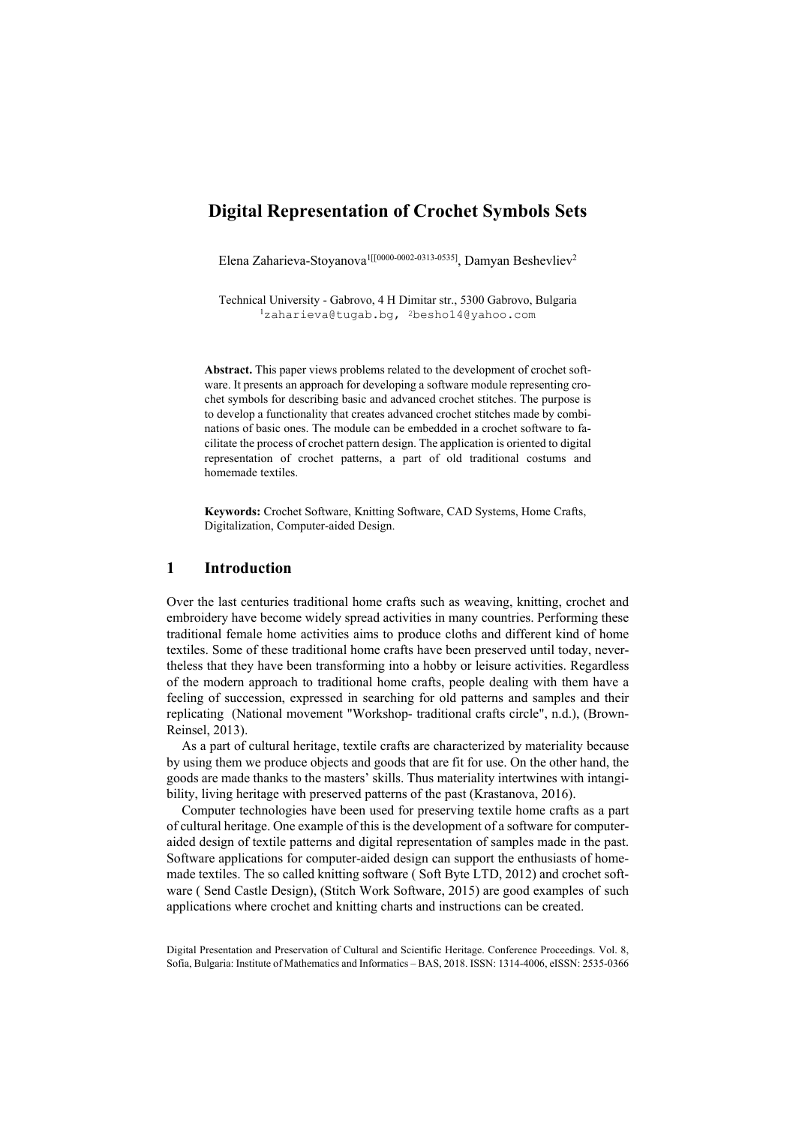# **Digital Representation of Crochet Symbols Sets**

Elena Zaharieva-Stoyanova<sup>1[[0000-0002-0313-0535]</sup>, Damyan Beshevliev<sup>2</sup>

Technical University - Gabrovo, 4 H Dimitar str., 5300 Gabrovo, Bulgaria 1zaharieva@tugab.bg, 2besho14@yahoo.com

**Abstract.** This paper views problems related to the development of crochet software. It presents an approach for developing a software module representing crochet symbols for describing basic and advanced crochet stitches. The purpose is to develop a functionality that creates advanced crochet stitches made by combinations of basic ones. The module can be embedded in a crochet software to facilitate the process of crochet pattern design. The application is oriented to digital representation of crochet patterns, a part of old traditional costums and homemade textiles.

**Keywords:** Crochet Software, Knitting Software, CAD Systems, Home Crafts, Digitalization, Computer-aided Design.

### **1 Introduction**

Over the last centuries traditional home crafts such as weaving, knitting, crochet and embroidery have become widely spread activities in many countries. Performing these traditional female home activities aims to produce cloths and different kind of home textiles. Some of these traditional home crafts have been preserved until today, nevertheless that they have been transforming into a hobby or leisure activities. Regardless of the modern approach to traditional home crafts, people dealing with them have a feeling of succession, expressed in searching for old patterns and samples and their replicating (National movement "Workshop- traditional crafts circle", n.d.), (Brown-Reinsel, 2013).

As a part of cultural heritage, textile crafts are characterized by materiality because by using them we produce objects and goods that are fit for use. On the other hand, the goods are made thanks to the masters' skills. Thus materiality intertwines with intangibility, living heritage with preserved patterns of the past (Krastanova, 2016).

Computer technologies have been used for preserving textile home crafts as a part of cultural heritage. One example of this is the development of a software for computeraided design of textile patterns and digital representation of samples made in the past. Software applications for computer-aided design can support the enthusiasts of homemade textiles. The so called knitting software ( Soft Byte LTD, 2012) and crochet software ( Send Castle Design), (Stitch Work Software, 2015) are good examples of such applications where crochet and knitting charts and instructions can be created.

Digital Presentation and Preservation of Cultural and Scientific Heritage. Conference Proceedings. Vol. 8, Sofia, Bulgaria: Institute of Mathematics and Informatics – BAS, 2018. ISSN: 1314-4006, eISSN: 2535-0366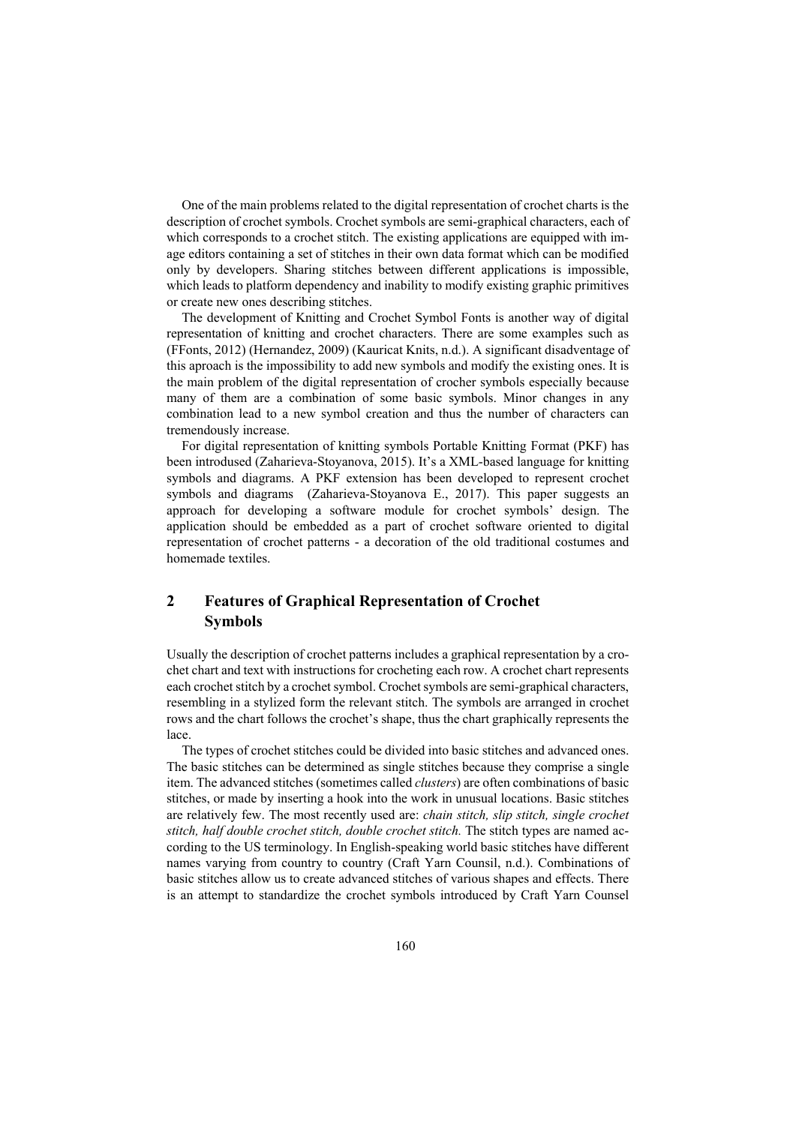One of the main problems related to the digital representation of crochet charts is the description of crochet symbols. Crochet symbols are semi-graphical characters, each of which corresponds to a crochet stitch. The existing applications are equipped with image editors containing a set of stitches in their own data format which can be modified only by developers. Sharing stitches between different applications is impossible, which leads to platform dependency and inability to modify existing graphic primitives or create new ones describing stitches.

The development of Knitting and Crochet Symbol Fonts is another way of digital representation of knitting and crochet characters. There are some examples such as (FFonts, 2012) (Hernandez, 2009) (Kauricat Knits, n.d.). A significant disadventage of this aproach is the impossibility to add new symbols and modify the existing ones. It is the main problem of the digital representation of crocher symbols especially because many of them are a combination of some basic symbols. Minor changes in any combination lead to a new symbol creation and thus the number of characters can tremendously increase.

For digital representation of knitting symbols Portable Knitting Format (PKF) has been introdused (Zaharieva-Stoyanova, 2015). It's a XML-based language for knitting symbols and diagrams. A PKF extension has been developed to represent crochet symbols and diagrams (Zaharieva-Stoyanova E., 2017). This paper suggests an approach for developing a software module for crochet symbols' design. The application should be embedded as a part of crochet software oriented to digital representation of crochet patterns - a decoration of the old traditional costumes and homemade textiles.

## **2 Features of Graphical Representation of Crochet Symbols**

Usually the description of crochet patterns includes a graphical representation by a crochet chart and text with instructions for crocheting each row. A crochet chart represents each crochet stitch by a crochet symbol. Crochet symbols are semi-graphical characters, resembling in a stylized form the relevant stitch. The symbols are arranged in crochet rows and the chart follows the crochet's shape, thus the chart graphically represents the lace.

The types of crochet stitches could be divided into basic stitches and advanced ones. The basic stitches can be determined as single stitches because they comprise a single item. The advanced stitches (sometimes called *clusters*) are often combinations of basic stitches, or made by inserting a hook into the work in unusual locations. Basic stitches are relatively few. The most recently used are: *chain stitch, slip stitch, single crochet stitch, half double crochet stitch, double crochet stitch.* The stitch types are named according to the US terminology. In English-speaking world basic stitches have different names varying from country to country (Craft Yarn Counsil, n.d.). Combinations of basic stitches allow us to create advanced stitches of various shapes and effects. There is an attempt to standardize the crochet symbols introduced by Craft Yarn Counsel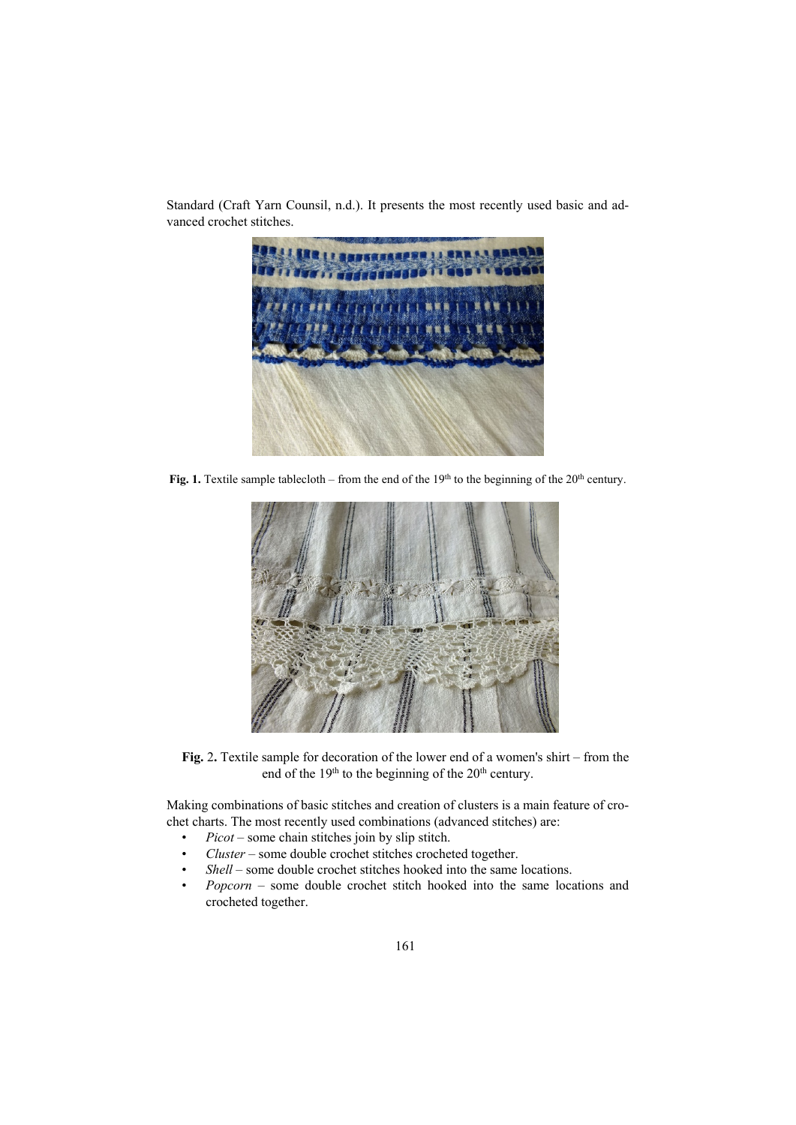

Standard (Craft Yarn Counsil, n.d.). It presents the most recently used basic and advanced crochet stitches.

Fig. 1. Textile sample tablecloth – from the end of the 19<sup>th</sup> to the beginning of the 20<sup>th</sup> century.



**Fig.** 2**.** Textile sample for decoration of the lower end of a women's shirt – from the end of the 19<sup>th</sup> to the beginning of the 20<sup>th</sup> century.

Making combinations of basic stitches and creation of clusters is a main feature of crochet charts. The most recently used combinations (advanced stitches) are:

- *Picot* some chain stitches join by slip stitch.
- *Cluster* some double crochet stitches crocheted together.
- *Shell* some double crochet stitches hooked into the same locations.
- *Popcorn* some double crochet stitch hooked into the same locations and crocheted together.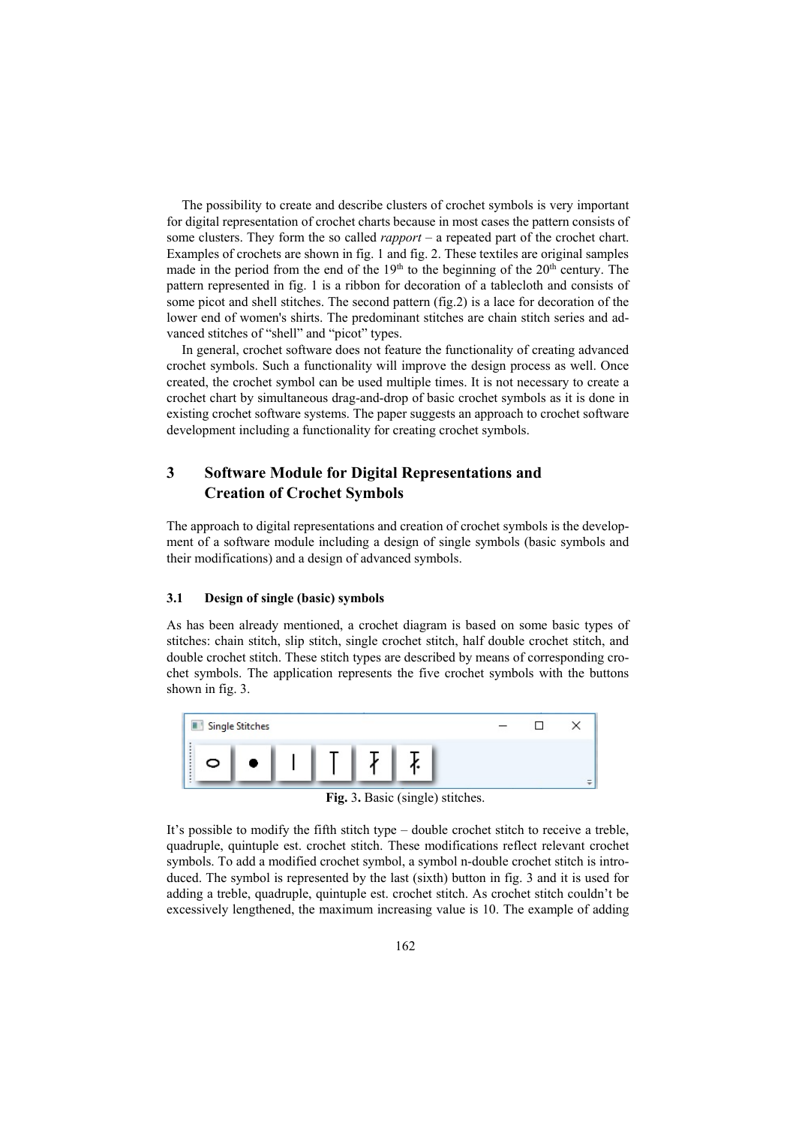The possibility to create and describe clusters of crochet symbols is very important for digital representation of crochet charts because in most cases the pattern consists of some clusters. They form the so called *rapport* – a repeated part of the crochet chart. Examples of crochets are shown in fig. 1 and fig. 2. These textiles are original samples made in the period from the end of the  $19<sup>th</sup>$  to the beginning of the  $20<sup>th</sup>$  century. The pattern represented in fig. 1 is a ribbon for decoration of a tablecloth and consists of some picot and shell stitches. The second pattern (fig.2) is a lace for decoration of the lower end of women's shirts. The predominant stitches are chain stitch series and advanced stitches of "shell" and "picot" types.

In general, crochet software does not feature the functionality of creating advanced crochet symbols. Such a functionality will improve the design process as well. Once created, the crochet symbol can be used multiple times. It is not necessary to create a crochet chart by simultaneous drag-and-drop of basic crochet symbols as it is done in existing crochet software systems. The paper suggests an approach to crochet software development including a functionality for creating crochet symbols.

## **3 Software Module for Digital Representations and Creation of Crochet Symbols**

The approach to digital representations and creation of crochet symbols is the development of a software module including a design of single symbols (basic symbols and their modifications) and a design of advanced symbols.

#### **3.1 Design of single (basic) symbols**

As has been already mentioned, a crochet diagram is based on some basic types of stitches: chain stitch, slip stitch, single crochet stitch, half double crochet stitch, and double crochet stitch. These stitch types are described by means of corresponding crochet symbols. The application represents the five crochet symbols with the buttons shown in fig. 3.



**Fig.** 3**.** Basic (single) stitches.

It's possible to modify the fifth stitch type – double crochet stitch to receive a treble, quadruple, quintuple est. crochet stitch. These modifications reflect relevant crochet symbols. To add a modified crochet symbol, a symbol n-double crochet stitch is introduced. The symbol is represented by the last (sixth) button in fig. 3 and it is used for adding a treble, quadruple, quintuple est. crochet stitch. As crochet stitch couldn't be excessively lengthened, the maximum increasing value is 10. The example of adding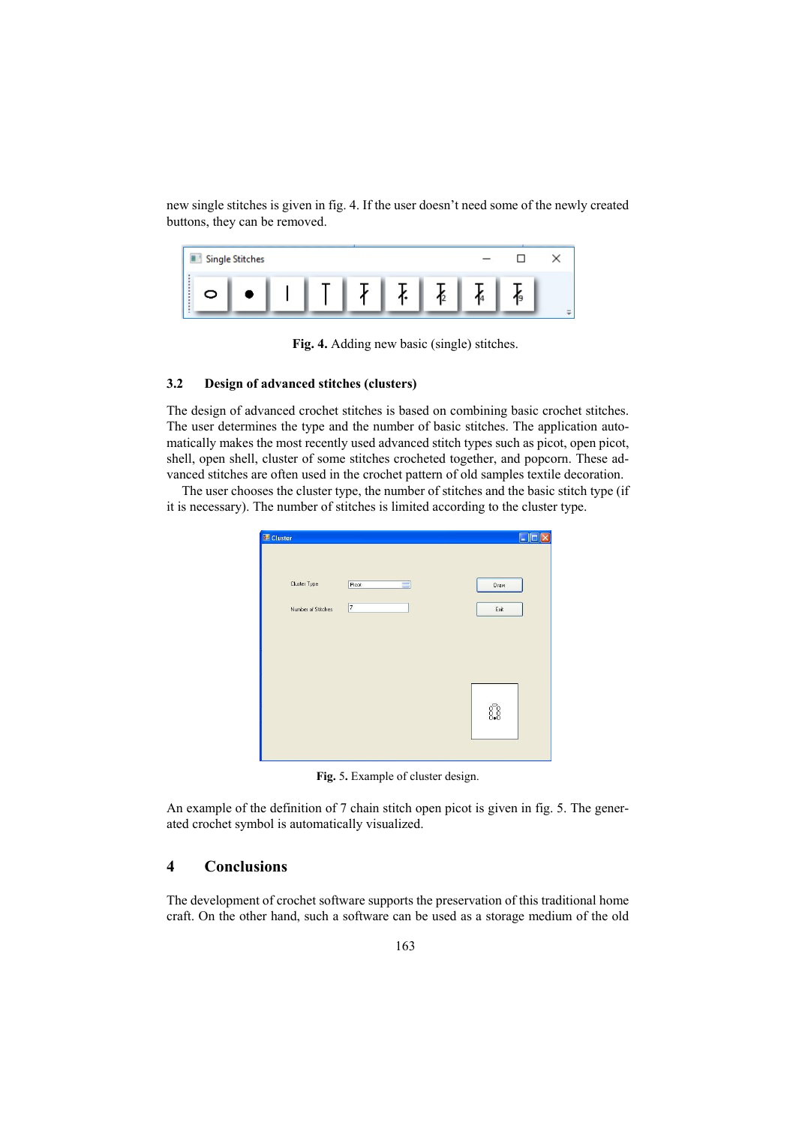new single stitches is given in fig. 4. If the user doesn't need some of the newly created buttons, they can be removed.

| Single Stitches |  |  |  |  |
|-----------------|--|--|--|--|
| ↽               |  |  |  |  |

**Fig. 4.** Adding new basic (single) stitches.

### **3.2 Design of advanced stitches (clusters)**

The design of advanced crochet stitches is based on combining basic crochet stitches. The user determines the type and the number of basic stitches. The application automatically makes the most recently used advanced stitch types such as picot, open picot, shell, open shell, cluster of some stitches crocheted together, and popcorn. These advanced stitches are often used in the crochet pattern of old samples textile decoration.

The user chooses the cluster type, the number of stitches and the basic stitch type (if it is necessary). The number of stitches is limited according to the cluster type.

| Cluster Type       | Picot<br>$\equiv$        | Draw |
|--------------------|--------------------------|------|
| Number of Stitches | $\overline{\phantom{a}}$ | Exit |
|                    |                          |      |
|                    |                          |      |
|                    |                          |      |
|                    |                          |      |
|                    |                          |      |

**Fig.** 5**.** Example of cluster design.

An example of the definition of 7 chain stitch open picot is given in fig. 5. The generated crochet symbol is automatically visualized.

## **4 Conclusions**

The development of crochet software supports the preservation of this traditional home craft. On the other hand, such a software can be used as a storage medium of the old